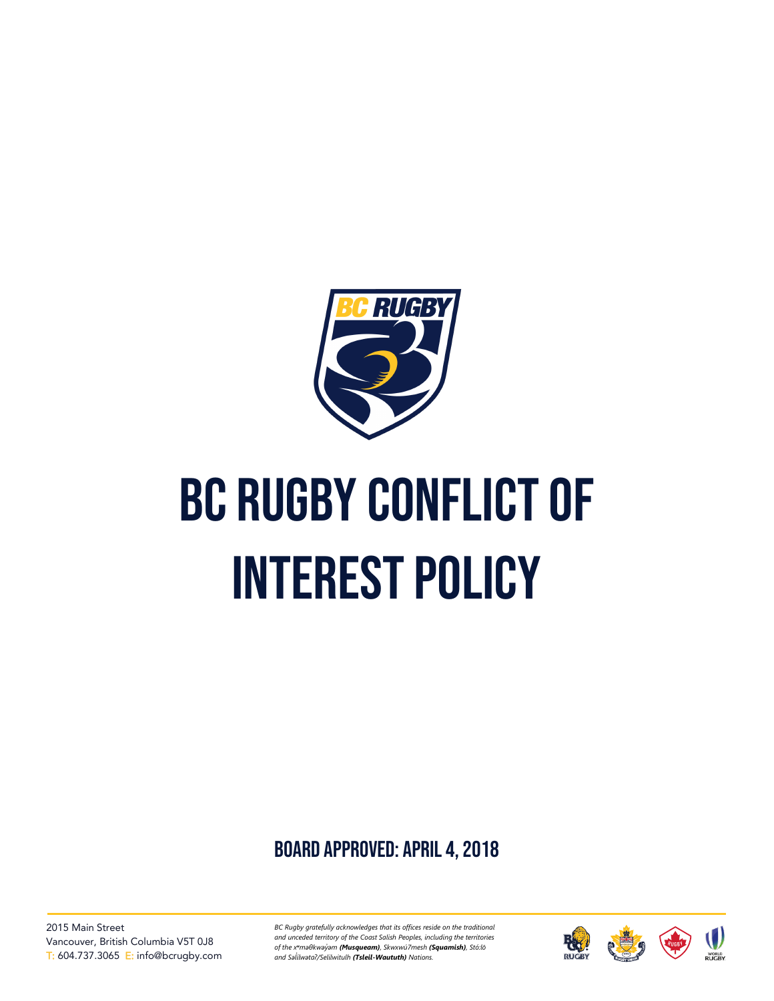

# BC RUGBY CONFLICT OF interest policy

board approved: April 4, 2018

2015 Main Street Vancouver, British Columbia V5T 0J8 T: 604.737.3065 E: info@bcrugby.com *BC Rugby gratefully acknowledges that its offices reside on the traditional and unceded territory of the Coast Salish Peoples, including the territories of the xʷməθkwəy̓əm (Musqueam), Skwxwú7mesh (Squamish), Stó:lō and Səl̓ ílwətaʔ/Selilwitulh (Tsleil-Waututh) Nations.*

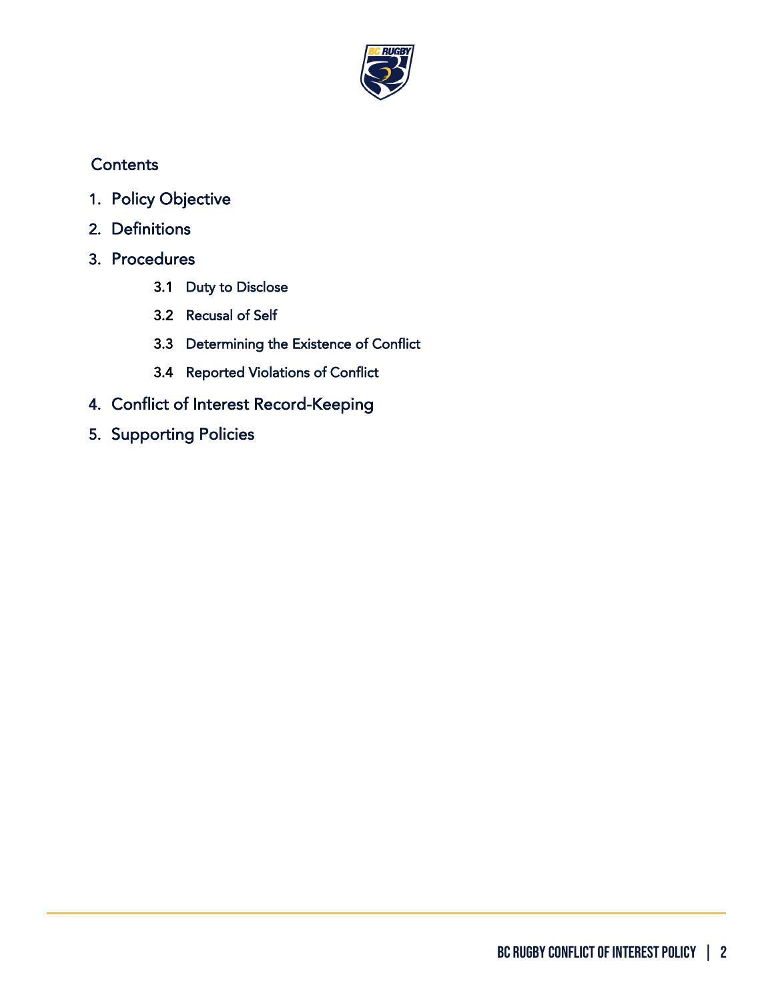

## **Contents**

- 1. [Policy Objective](#page-2-0)
- 2. [Definitions](#page-2-1)
- 3. [Procedures](#page-2-2) 
	- 3.1 Duty to Disclose
	- 3.2 Recusal of Self
	- 3.3 Determining the Existence of Conflict
	- 3.4 Reported Violations of Conflict
- 4. [Conflict of Interest Record-Keeping](#page-4-0)
- 5. [Supporting Policies](#page-4-1)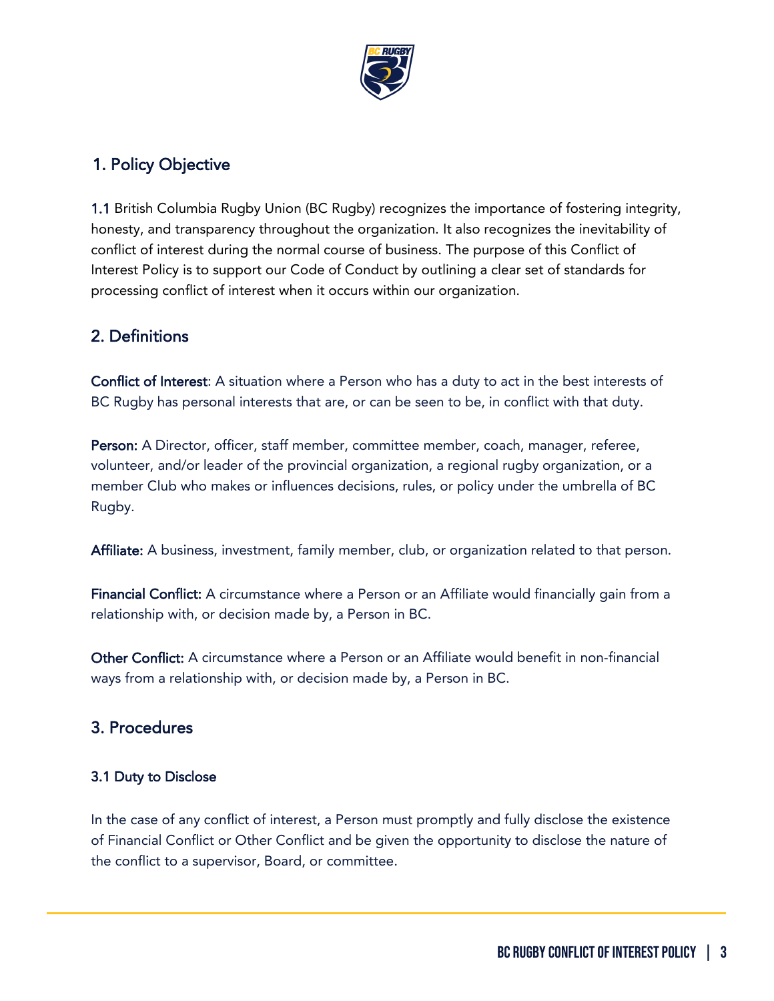

## <span id="page-2-0"></span>1. Policy Objective

1.1 British Columbia Rugby Union (BC Rugby) recognizes the importance of fostering integrity, honesty, and transparency throughout the organization. It also recognizes the inevitability of conflict of interest during the normal course of business. The purpose of this Conflict of Interest Policy is to support our Code of Conduct by outlining a clear set of standards for processing conflict of interest when it occurs within our organization.

## <span id="page-2-1"></span>2. Definitions

Conflict of Interest: A situation where a Person who has a duty to act in the best interests of BC Rugby has personal interests that are, or can be seen to be, in conflict with that duty.

Person: A Director, officer, staff member, committee member, coach, manager, referee, volunteer, and/or leader of the provincial organization, a regional rugby organization, or a member Club who makes or influences decisions, rules, or policy under the umbrella of BC Rugby.

Affiliate: A business, investment, family member, club, or organization related to that person.

Financial Conflict: A circumstance where a Person or an Affiliate would financially gain from a relationship with, or decision made by, a Person in BC.

Other Conflict: A circumstance where a Person or an Affiliate would benefit in non-financial ways from a relationship with, or decision made by, a Person in BC.

### <span id="page-2-2"></span>3. Procedures

#### 3.1 Duty to Disclose

In the case of any conflict of interest, a Person must promptly and fully disclose the existence of Financial Conflict or Other Conflict and be given the opportunity to disclose the nature of the conflict to a supervisor, Board, or committee.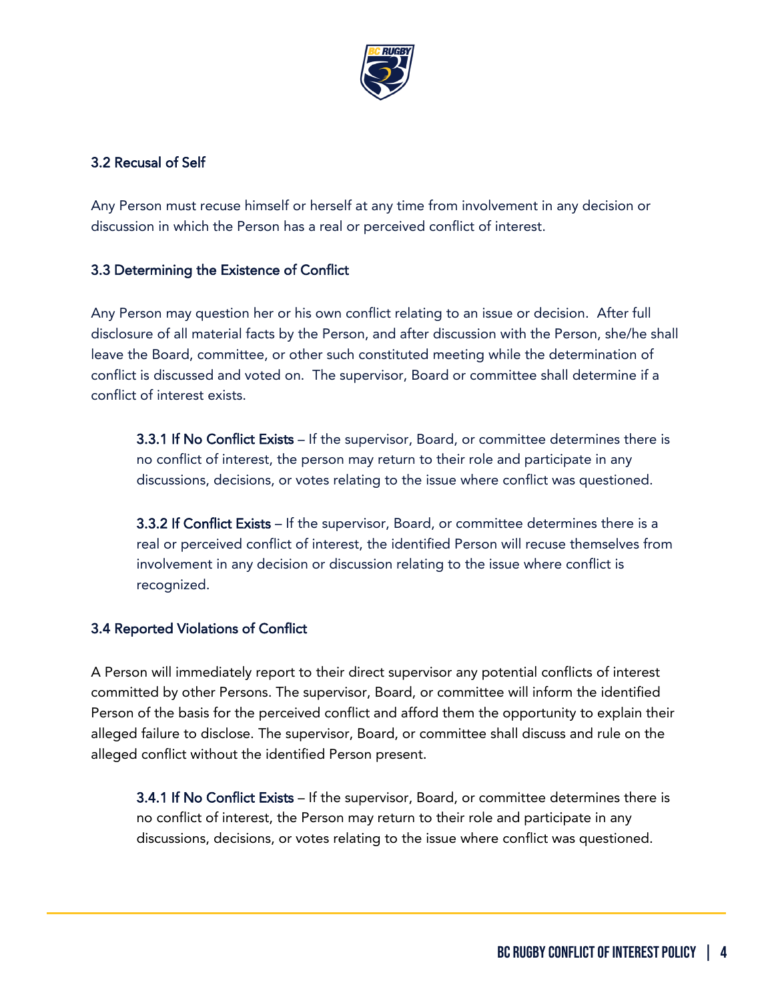

#### 3.2 Recusal of Self

Any Person must recuse himself or herself at any time from involvement in any decision or discussion in which the Person has a real or perceived conflict of interest.

#### 3.3 Determining the Existence of Conflict

Any Person may question her or his own conflict relating to an issue or decision. After full disclosure of all material facts by the Person, and after discussion with the Person, she/he shall leave the Board, committee, or other such constituted meeting while the determination of conflict is discussed and voted on. The supervisor, Board or committee shall determine if a conflict of interest exists.

3.3.1 If No Conflict Exists – If the supervisor, Board, or committee determines there is no conflict of interest, the person may return to their role and participate in any discussions, decisions, or votes relating to the issue where conflict was questioned.

3.3.2 If Conflict Exists – If the supervisor, Board, or committee determines there is a real or perceived conflict of interest, the identified Person will recuse themselves from involvement in any decision or discussion relating to the issue where conflict is recognized.

#### 3.4 Reported Violations of Conflict

A Person will immediately report to their direct supervisor any potential conflicts of interest committed by other Persons. The supervisor, Board, or committee will inform the identified Person of the basis for the perceived conflict and afford them the opportunity to explain their alleged failure to disclose. The supervisor, Board, or committee shall discuss and rule on the alleged conflict without the identified Person present.

3.4.1 If No Conflict Exists – If the supervisor, Board, or committee determines there is no conflict of interest, the Person may return to their role and participate in any discussions, decisions, or votes relating to the issue where conflict was questioned.